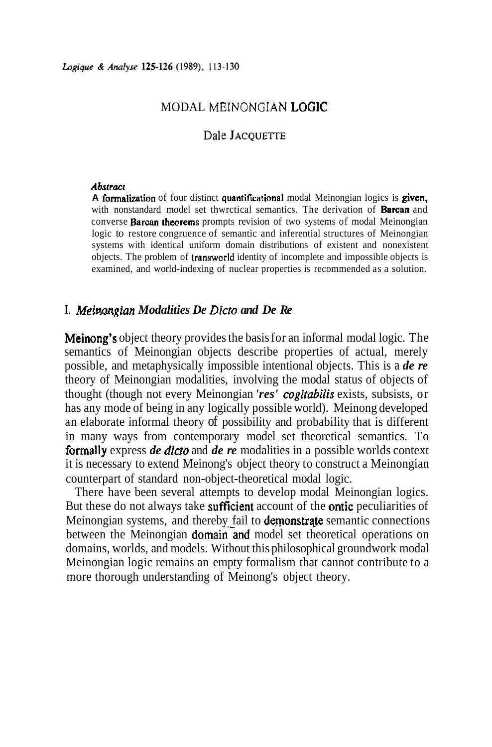# MODAL **MEINONGIAN** LOGIC

### Dale.JACQUETTE

#### **Absfracf**

**A** formalization of four distinct quantificational modal Meinongian logics is given. with nonstandard model set thwrctical semantics. The derivation of **Barcan** and converse **Barcan theorems** prompts revision of two systems of modal Meinongian logic to restore congruence of semantic and inferential structures of Meinongian systems with identical uniform domain distributions of existent and nonexistent objects. The problem of transworld identity of incomplete and impossible objects is examined, and world-indexing of nuclear properties is recommended as a solution.

### I. *Meivnngian Modalities De Dicto and De Re*

Meinong's object theory provides the basis for an informal modal logic. The semantics of Meinongian objects describe properties of actual, merely possible, and metaphysically impossible intentional objects. This is a *de re*  theory of Meinongian modalities, involving the modal status of objects of thought (though not every Meinongian *'res' cogitabilis* exists, subsists, or has any mode of being in any logically possible world). Meinong developed an elaborate informal theory of possibility and probability that is different in many ways from contemporary model set theoretical semantics. To formally express *de dicto* and *de re* modalities in a possible worlds context it is necessary to extend Meinong's object theory to construct a Meinongian counterpart of standard non-object-theoretical modal logic.

There have been several attempts to develop modal Meinongian logics. But these do not always take **sufficient** account of the **ontic** peculiarities of Meinongian systems, and thereby fail to **demonstrate** semantic connections between the Meinongian **domain and** model set theoretical operations on domains, worlds, and models. Without this philosophical groundwork modal Meinongian logic remains an empty formalism that cannot contribute to a more thorough understanding of Meinong's object theory.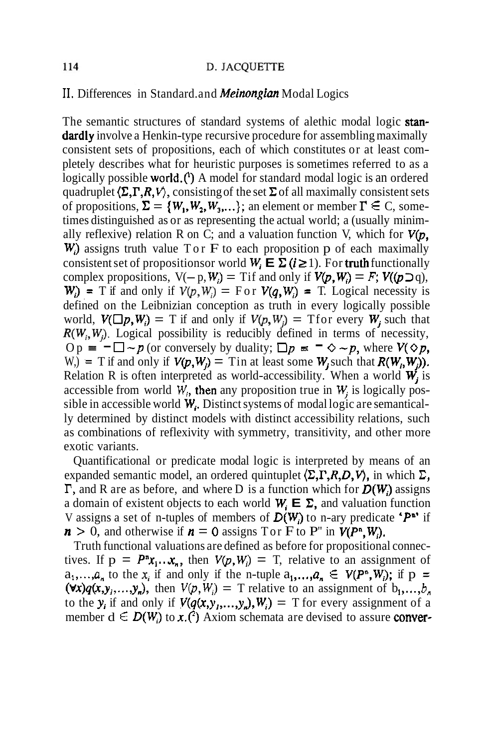### **11.** Differences in Standard. and Meinongian Modal Logics

The semantic structures of standard systems of alethic modal logic standardly involve a Henkin-type recursive procedure for assembling maximally consistent sets of propositions, each of which constitutes or at least completely describes what for heuristic purposes is sometimes referred to as a logically possible **world.** $(1)$  A model for standard modal logic is an ordered quadruplet  $\langle \Sigma, \Gamma, R, V \rangle$ , consisting of the set  $\Sigma$  of all maximally consistent sets of propositions,  $\Sigma = \{W_1, W_2, W_3, ...\}$ ; an element or member  $\Gamma \subseteq C$ , sometimes distinguished as or as representing the actual world; a (usually minimally reflexive) relation R on C; and a valuation function V, which for  $V(p)$ ,  $W_i$ ) assigns truth value T or F to each proposition p of each maximally consistent set of propositionsor world  $W_i \nightharpoonup \Sigma$  ( $i \ge 1$ ). For truth functionally complex propositions,  $V(- p, W_i) = T$  if and only if  $V(p, W_i) = F$ ;  $V((p \supseteq q)$ ,  $W_i$ ) = T if and only if  $V(p, W_i) =$  F or  $V(q, W_i) =$  T. Logical necessity is defined on the Leibnizian conception as truth in every logically possible world,  $V(\Box p, W_i) = T$  if and only if  $V(p, W_i) = T$  for every  $W_i$  such that  $R(W_i, W_i)$ . Logical possibility is reducibly defined in terms of necessity,  $\text{Op} = -\Box - p$  (or conversely by duality;  $\Box p = \Box \Diamond - p$ , where  $V(\Diamond p)$ , W,) = T if and only if  $V(p, W_i) =$  T in at least some  $W_i$  such that  $R(W_i, W_i)$ . Relation R is often interpreted as world-accessibility. When a world  $\vec{W}_j$  is accessible from world  $W_i$ , then any proposition true in  $W_i$  is logically possible in accessible world  $W_i$ . Distinct systems of modal logic are semantically determined by distinct models with distinct accessibility relations, such as combinations of reflexivity with symmetry, transitivity, and other more exotic variants.

Quantificational or predicate modal logic is interpreted by means of an expanded semantic model, an ordered quintuplet  $(\Sigma, \Gamma, R, D, V)$ , in which  $\Sigma$ , **I',** and R are as before, and where D is a function which for D(W,) assigns a domain of existent objects to each world  $W_i \nightharpoondown \Sigma$ , and valuation function V assigns a set of n-tuples of members of  $D(W_i)$  to n-ary predicate 'P<sup>n</sup>' if  $n > 0$ , and otherwise if  $n = 0$  assigns Tor F to P" in  $V(P^n, W)$ .

Truth functional valuations are defined as before for propositional connectives. If  $p = P^n x_i ... x_n$ , then  $V(p, W_i) = T$ , relative to an assignment of  $a_1, \ldots, a_n$  to the  $x_i$  if and only if the n-tuple  $a_1, \ldots, a_n \in V(P^n, W_i)$ ; if  $p =$  $(\forall x)q(x,y_1,...,y_n)$ , then  $V(p,W_i) = T$  relative to an assignment of  $b_1,...,b_n$ to the  $y_i$  if and only if  $V(q(x, y_1, \ldots, y_n), W_i) = T$  for every assignment of a member  $d \in D(W_i)$  to  $x_i$ . (2) Axiom schemata are devised to assure **conver-**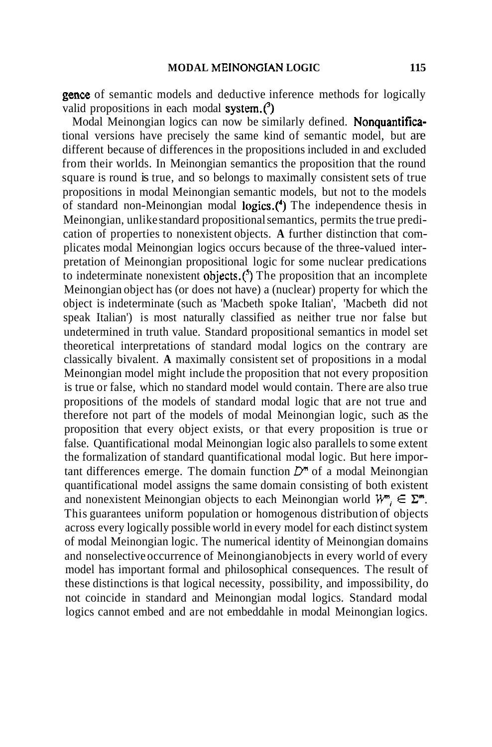**gence** of semantic models and deductive inference methods for logically valid propositions in each modal system. $(3)$ 

Modal Meinongian logics can now be similarly defined. Nonquantificational versions have precisely the same kind of semantic model, but are different because of differences in the propositions included in and excluded from their worlds. In Meinongian semantics the proposition that the round square is round is true, and so belongs to maximally consistent sets of true propositions in modal Meinongian semantic models, but not to the models of standard non-Meinongian modal logics.(\*) The independence thesis in Meinongian, unlike standard propositional semantics, permits the true predication of properties to nonexistent objects. **A** further distinction that complicates modal Meinongian logics occurs because of the three-valued interpretation of Meinongian propositional logic for some nuclear predications to indeterminate nonexistent objects. $(5)$  The proposition that an incomplete Meinongian object has (or does not have) a (nuclear) property for which the object is indeterminate (such as 'Macbeth spoke Italian', 'Macbeth did not speak Italian') is most naturally classified as neither true nor false but undetermined in truth value. Standard propositional semantics in model set theoretical interpretations of standard modal logics on the contrary are classically bivalent. **A** maximally consistent set of propositions in a modal Meinongian model might include the proposition that not every proposition is true or false, which no standard model would contain. There are also true propositions of the models of standard modal logic that are not true and therefore not part of the models of modal Meinongian logic, such as the proposition that every object exists, or that every proposition is true or false. Quantificational modal Meinongian logic also parallels to some extent the formalization of standard quantificational modal logic. But here important differences emerge. The domain function  $D^{\omega}$  of a modal Meinongian quantificational model assigns the same domain consisting of both existent and nonexistent Meinongian objects to each Meinongian world  $W^m$ ,  $\in \Sigma^m$ . This guarantees uniform population or homogenous distribution of objects across every logically possible world in every model for each distinct system of modal Meinongian logic. The numerical identity of Meinongian domains and nonselective occurrence of Meinongianobjects in every world of every model has important formal and philosophical consequences. The result of these distinctions is that logical necessity, possibility, and impossibility, do not coincide in standard and Meinongian modal logics. Standard modal logics cannot embed and are not embeddahle in modal Meinongian logics.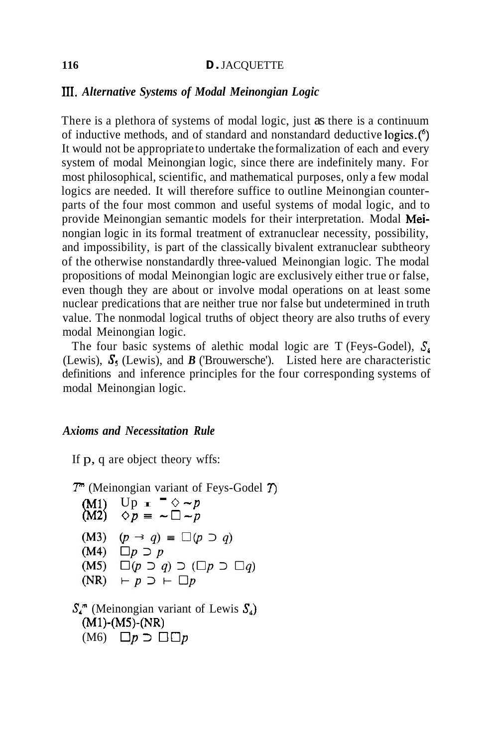## **111.** *Alternative Systems of Modal Meinongian Logic*

There is a plethora of systems of modal logic, just as there is a continuum of inductive methods, and of standard and nonstandard deductive logics.(6) It would not be appropriate to undertake the formalization of each and every system of modal Meinongian logic, since there are indefinitely many. For most philosophical, scientific, and mathematical purposes, only a few modal logics are needed. It will therefore suffice to outline Meinongian counterparts of the four most common and useful systems of modal logic, and to provide Meinongian semantic models for their interpretation. Modal Meinongian logic in its formal treatment of extranuclear necessity, possibility, and impossibility, is part of the classically bivalent extranuclear subtheory of the otherwise nonstandardly three-valued Meinongian logic. The modal propositions of modal Meinongian logic are exclusively either true or false, even though they are about or involve modal operations on at least some nuclear predications that are neither true nor false but undetermined in truth value. The nonmodal logical truths of object theory are also truths of every modal Meinongian logic.

The four basic systems of alethic modal logic are T (Feys-Godel),  $S_{\lambda}$ (Lewis), *S,* (Lewis), and *B* ('Brouwersche'). Listed here are characteristic definitions and inference principles for the four corresponding systems of modal Meinongian logic.

# *Axioms and Necessitation Rule*

If p, q are object theory wffs:

**7'"** (Meinongian variant of Feys-Godel T)

- (Meinongian variant of<br>(M1) Up  $\pm \infty$  $(M2)$   $\Diamond p = -\Box - p$
- 
- (M3)  $(p \rightarrow q) \equiv \Box (p \supset q)$
- $(M4)$   $\Box p \supset p$
- $(M5)$   $\Box(p \supset q) \supset (\Box p \supset \Box q)$
- (NR)  $\vdash p \supset \vdash \Box p$
- **S;"** (Meinongian variant of Lewis *S,)*  (MI)-(M5)-(NR) (M6)  $\Box p \supset \Box \Box p$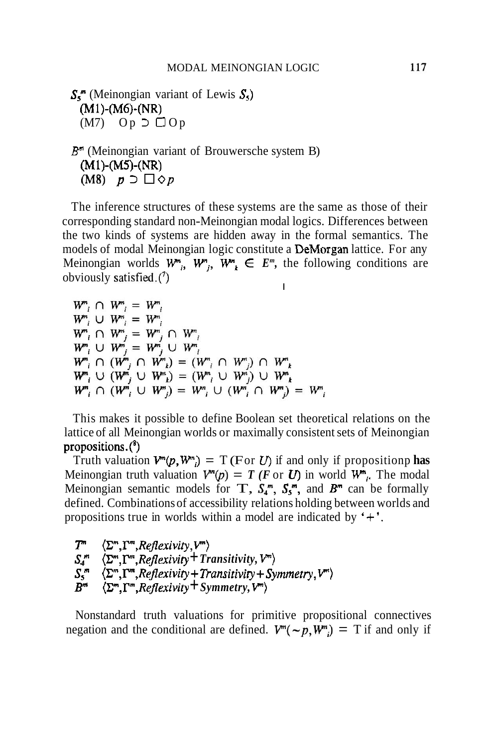*S;"* (Meinongian variant of Lewis *S,)*  (M1)-(M6)-(NR) (M7) Op **3** O Op

*B*<sup> $m$ </sup> (Meinongian variant of Brouwersche system B) (M1)-(M5)-(NR) (M8)  $p \supset \Box \Diamond p$ 

The inference structures of these systems are the same as those of their corresponding standard non-Meinongian modal logics. Differences between the two kinds of systems are hidden away in the formal semantics. The models of modal Meinongian logic constitute a DeMorgan lattice. For any Meinongian worlds  $W_{i}^{m}$ ,  $W_{i}^{m}$ ,  $W_{k}^{m} \in E^{m}$ , the following conditions are obviously satisfied. $(7)$ 

$$
W_{i}^{m} \cap W_{j}^{m} = W_{j}^{m}
$$
  
\n
$$
W_{i}^{m} \cup W_{j}^{m} = W_{j}^{m}
$$
  
\n
$$
W_{j}^{m} \cap W_{j}^{m} = W_{j}^{m} \cap W_{j}^{m}
$$
  
\n
$$
W_{i}^{m} \cup W_{j}^{m} = W_{j}^{m} \cup W_{j}^{m}
$$
  
\n
$$
W_{i}^{m} \cap (W_{j}^{m} \cap W_{k}^{m}) = (W_{j}^{m} \cap W_{j}^{m}) \cap W_{k}^{m}
$$
  
\n
$$
W_{j}^{m} \cup (W_{j}^{m} \cup W_{j}^{m}) = (W_{j}^{m} \cup W_{j}^{m}) \cup W_{k}^{m}
$$
  
\n
$$
W_{j}^{m} \cap (W_{j}^{m} \cup W_{j}^{m}) = W_{j}^{m} \cup (W_{j}^{m} \cap W_{j}^{m}) = W_{j}^{m}
$$

This makes it possible to define Boolean set theoretical relations on the lattice of all Meinongian worlds or maximally consistent sets of Meinongian propositions. $(^{8})$ 

Truth valuation  $V^m(p, W^m) = T$  (For U) if and only if propositionp has Meinongian truth valuation  $V^m(p) = T(F \text{ or } U)$  in world  $W^m$ . The modal Meinongian semantic models for  $T$ ,  $S_4^m$ ,  $S_5^m$ , and  $B^m$  can be formally defined. Combinations of accessibility relations holding between worlds and propositions true in worlds within a model are indicated by  $' +'$ .

```
T^m \langle \Sigma^m, \Gamma^m, Reflexivity, V^m \rangle<br>S^{m}_{\mu} \langle \Sigma^m, \Gamma^m, Reflexivity+Tr(Cm,P,Rej7exivity + Transitivity, V') 
S_{s}^{m} \langle \Sigma^{m}, \Gamma^{m}, \text{Reflexivity} + \text{Transitivity} + \text{Symmetry}, \mathcal{V}^{m} \rangle\vec{B}^m \langle \Sigma^m, \Gamma^m, \text{Reflexivity} + \text{Symmetry}, \text{V}^m \rangle
```
Nonstandard truth valuations for primitive propositional connectives negation and the conditional are defined.  $V^m(-p, W^m) = T$  if and only if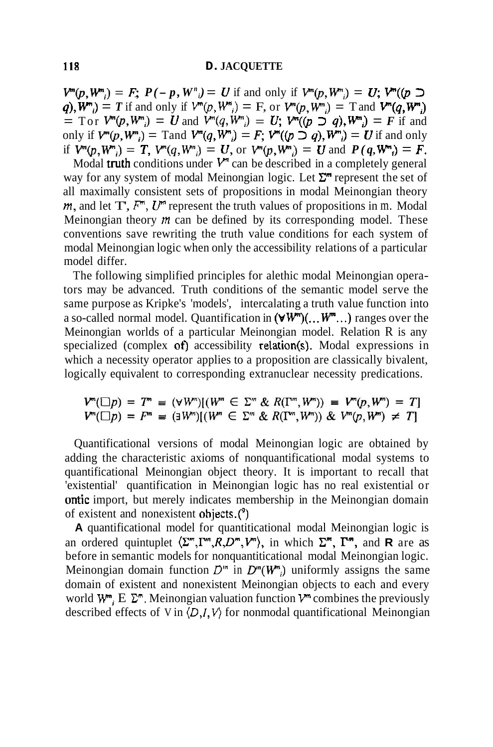$V^m(p, W^m) = F$ ;  $P(-p, W^n) = U$  if and only if  $V^m(p, W^n) = U$ ;  $V^m(p, \mathcal{L}^m)$ *q*),  $W^m$ <sub>*i*</sub>) = *T* if and only if  $V^m(p, W^r)$  = F, or  $V^m(p, W^m)$  = T and  $V^m(q, W^m)$  $\overline{U} = \text{Tor } V^m(p, W^n) = U$  and  $V^m(q, W^n) = U$ ;  $V^m((p \supset q), W^n) = F$  if and only if  $V^m(p, W^n) = \text{Tand } V^m(q, W^n) = F$ ;  $V^m((p \supset q), W^m) = U$  if and only if  $V^m(p, W^n) = T$ ,  $V^m(q, W^n) = U$ , or  $V^m(p, W^n) = U$  and  $P(q, W^m) = F$ .

Modal truth conditions under  $V<sup>m</sup>$  can be described in a completely general way for any system of modal Meinongian logic. Let  $\Sigma^m$  represent the set of all maximally consistent sets of propositions in modal Meinongian theory **m,** and let T', **F'", U"** represent the truth values of propositions in m. Modal Meinongian theory **m** can be defined by its corresponding model. These conventions save rewriting the truth value conditions for each system of modal Meinongian logic when only the accessibility relations of a particular model differ.

The following simplified principles for alethic modal Meinongian operators may be advanced. Truth conditions of the semantic model serve the same purpose as Kripke's 'models', intercalating a truth value function into a so-called normal model. Quantification in *(vW")(* **...W'"...)** ranges over the Meinongian worlds of a particular Meinongian model. Relation R is any specialized (complex of) accessibility relation(s). Modal expressions in which a necessity operator applies to a proposition are classically bivalent, logically equivalent to corresponding extranuclear necessity predications.

$$
V^{m}(\Box p) = T^{m} \equiv (\forall W^{m})[(W^{m} \in \Sigma^{m} \& R(\Gamma^{m}, W^{m})) \equiv V^{m}(p, W^{m}) = T]
$$
  

$$
V^{m}(\Box p) = F^{m} \equiv (\exists W^{m})[(W^{m} \in \Sigma^{m} \& R(\Gamma^{m}, W^{m})) \& V^{m}(p, W^{m}) \neq T]
$$

Quantificational versions of modal Meinongian logic are obtained by adding the characteristic axioms of nonquantificational modal systems to quantificational Meinongian object theory. It is important to recall that 'existential' quantification in Meinongian logic has no real existential or ontic import, but merely indicates membership in the Meinongian domain of existent and nonexistent objects. $(9)$ 

**A** quantificational model for quantiticational modal Meinongian logic is an ordered quintuplet  $(\Sigma^m, \Gamma^m, R, D^m, V^m)$ , in which  $\Sigma^m$ ,  $\Gamma^m$ , and **R** are as before in semantic models for nonquantiticational modal Meinongian logic. Meinongian domain function  $D^m$  in  $D^m(W^n)$  uniformly assigns the same domain of existent and nonexistent Meinongian objects to each and every world  $W^m$ ;  $E \Sigma^m$ . Meinongian valuation function  $V^m$  combines the previously described effects of V in  $\langle D,I,V \rangle$  for nonmodal quantificational Meinongian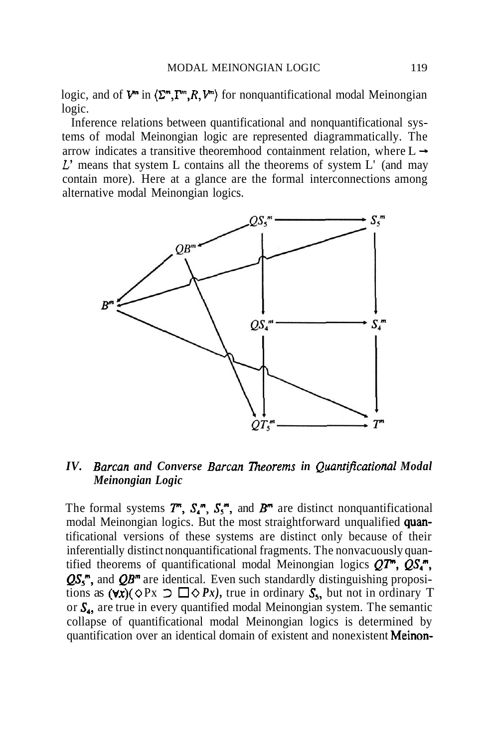logic, and of  $V^m$  in  $\langle \Sigma^m, \Gamma^m, R, V^m \rangle$  for nonquantificational modal Meinongian logic.

Inference relations between quantificational and nonquantificational systems of modal Meinongian logic are represented diagrammatically. The arrow indicates a transitive theoremhood containment relation, where  $L \rightarrow$  $L'$  means that system L contains all the theorems of system  $L'$  (and may contain more). Here at a glance are the formal interconnections among alternative modal Meinongian logics.



# *IV. Barcan and Converse Barcan Reorems in Quantificational Modal Meinongian Logic*

The formal systems  $T^{\prime\prime}$ ,  $S_{\prime\prime}^{\prime\prime}$ ,  $S_{\prime\prime}^{\prime\prime}$ , and  $B^{\prime\prime\prime}$  are distinct nonquantificational modal Meinongian logics. But the most straightforward unqualified quantificational versions of these systems are distinct only because of their inferentially distinct nonquantificational fragments. The nonvacuously quantified theorems of quantificational modal Meinongian logics  $QT^m$ ,  $QS_4^m$ , *QS,"',* and *QBm* are identical. Even such standardly distinguishing propositions as  $(\forall x)(\Diamond Px \supset \Box \Diamond Px)$ , true in ordinary  $S_5$ , but not in ordinary T or *S,,* are true in every quantified modal Meinongian system. The semantic collapse of quantificational modal Meinongian logics is determined by quantification over an identical domain of existent and nonexistent Meinon-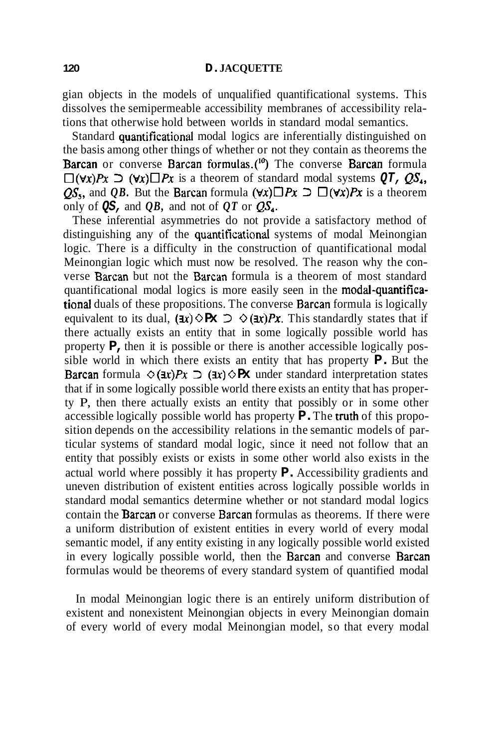gian objects in the models of unqualified quantificational systems. This dissolves the semipermeable accessibility membranes of accessibility relations that otherwise hold between worlds in standard modal semantics.

Standard quantificational modal logics are inferentially distinguished on the basis among other things of whether or not they contain as theorems the Barcan or converse Barcan formulas. $(^{10})$  The converse Barcan formula  $\Box(\forall x)Px \supset (\forall x)\Box Px$  is a theorem of standard modal systems  $QT$ ,  $QS$ , **QS<sub>5</sub>**, and *QB*. But the Barcan formula  $(\forall x) \Box Px \supset \Box (\forall x)Px$  is a theorem only of  $\mathcal{O}S$ , and  $\mathcal{O}B$ , and not of  $\mathcal{O}T$  or  $\mathcal{O}S$ .

These inferential asymmetries do not provide a satisfactory method of distinguishing any of the quantificational systems of modal Meinongian logic. There is a difficulty in the construction of quantificational modal Meinongian logic which must now be resolved. The reason why the converse Barcan but not the Barcan formula is a theorem of most standard quantificational modal logics is more easily seen in the modal-quantificational duals of these propositions. The converse Barcan formula is logically equivalent to its dual,  $(\exists x) \Diamond \exists x \supset \Diamond (\exists x)Px$ . This standardly states that if there actually exists an entity that in some logically possible world has property **P,** then it is possible or there is another accessible logically possible world in which there exists an entity that has property **P.** But the Barcan formula  $\Diamond$   $(\exists x)Px \supset (\exists x) \Diamond \exists x$  under standard interpretation states that if in some logically possible world there exists an entity that has property P, then there actually exists an entity that possibly or in some other accessible logically possible world has property **P.** The truth of this proposition depends on the accessibility relations in the semantic models of particular systems of standard modal logic, since it need not follow that an entity that possibly exists or exists in some other world also exists in the actual world where possibly it has property **P.** Accessibility gradients and uneven distribution of existent entities across logically possible worlds in standard modal semantics determine whether or not standard modal logics contain the Barcan or converse Barcan formulas as theorems. If there were a uniform distribution of existent entities in every world of every modal semantic model, if any entity existing in any logically possible world existed in every logically possible world, then the Barcan and converse Barcan formulas would be theorems of every standard system of quantified modal

In modal Meinongian logic there is an entirely uniform distribution of existent and nonexistent Meinongian objects in every Meinongian domain of every world of every modal Meinongian model, so that every modal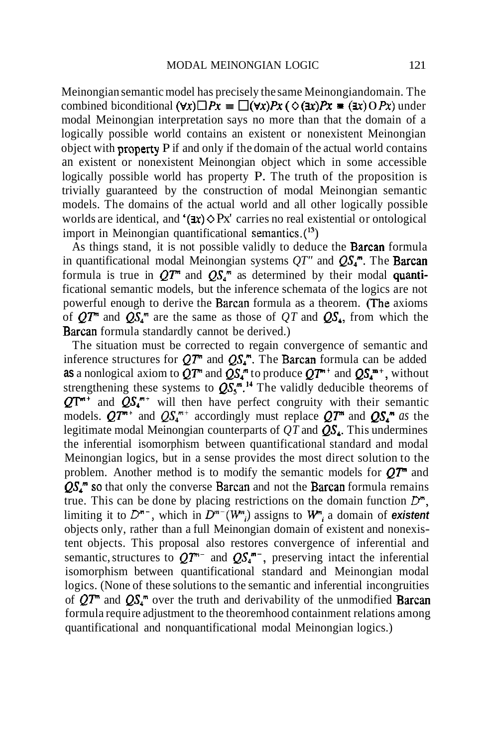Meinongian semantic model has precisely the same Meinongiandomain. The combined biconditional  $(\forall x) \Box Px = \Box (\forall x)Px \cdot (\Diamond (\exists x)Px \equiv (\exists x) \cup Px)$  under modal Meinongian interpretation says no more than that the domain of a logically possible world contains an existent or nonexistent Meinongian object with **property**  $P$  if and only if the domain of the actual world contains an existent or nonexistent Meinongian object which in some accessible logically possible world has property P. The truth of the proposition is trivially guaranteed by the construction of modal Meinongian semantic models. The domains of the actual world and all other logically possible worlds are identical, and  $'(\exists x) \Diamond Px'$  carries no real existential or ontological import in Meinongian quantificational semantics. $(1^3)$ 

As things stand, it is not possible validly to deduce the Barcan formula in quantificational modal Meinongian systems *QT"* and *QS4"'.* The Barcan formula is true in  $QT^m$  and  $QS_a^m$  as determined by their modal quantificational semantic models, but the inference schemata of the logics are not powerful enough to derive the Barcan formula as a theorem. (The axioms of  $QT^m$  and  $QS_4^m$  are the same as those of  $QT$  and  $QS_4$ , from which the Barcan formula standardly cannot be derived.)

The situation must be corrected to regain convergence of semantic and inference structures for  $QT^m$  and  $QS^{m}_{4}$ . The Barcan formula can be added **as** a nonlogical axiom to  $QT^m$  and  $QS_4^m$  to produce  $QT^{m+}$  and  $QS_4^{m+}$ , without strengthening these systems to  $QS_5^m$ .<sup>14</sup> The validly deducible theorems of  $QT^{m+}$  and  $QS_{4}^{m+}$  will then have perfect congruity with their semantic models.  $QT^{m+}$  and  $QS^{m+}$  accordingly must replace  $QT^{m}$  and  $QS^{m}$  as the legitimate modal Meinongian counterparts of *QT* and *QS,.* This undermines the inferential isomorphism between quantificational standard and modal Meinongian logics, but in a sense provides the most direct solution to the problem. Another method is to modify the semantic models for *QT"* and *QS4"'so* that only the converse Barcan and not the Barcan formula remains true. This can be done by placing restrictions on the domain function  $D^{\infty}$ , limiting it to  $D^{m-}$ , which in  $D^{m-}(W^n)$  assigns to  $W^n$  a domain of **existent** objects only, rather than a full Meinongian domain of existent and nonexistent objects. This proposal also restores convergence of inferential and semantic, structures to  $QT^{m-}$  and  $QS_{4}^{m-}$ , preserving intact the inferential isomorphism between quantificational standard and Meinongian modal logics. (None of these solutions to the semantic and inferential incongruities of  $QT^m$  and  $QS_{4}^m$  over the truth and derivability of the unmodified **Barcan** formula require adjustment to the theoremhood containment relations among quantificational and nonquantificational modal Meinongian logics.)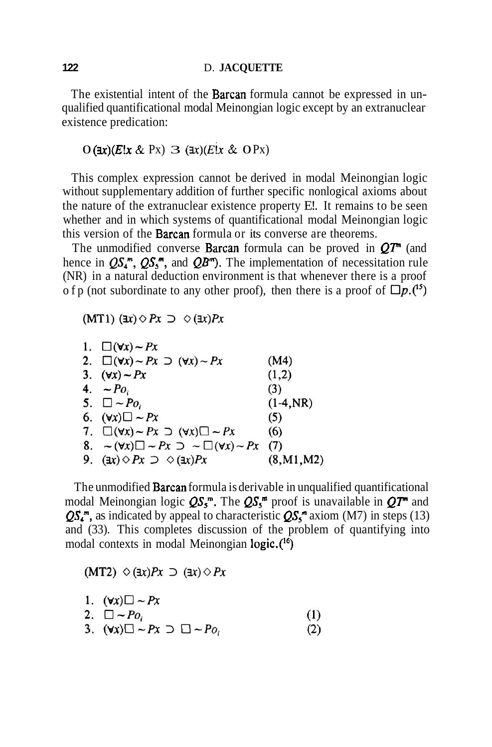The existential intent of the Barcan formula cannot be expressed in unqualified quantificational modal Meinongian logic except by an extranuclear existence predication:

 $O(\exists x)(E!x \& Px)$  3  $(\exists x)(E!x \& OPx)$ 

This complex expression cannot be derived in modal Meinongian logic without supplementary addition of further specific nonlogical axioms about the nature of the extranuclear existence property E!. It remains to be seen whether and in which systems of quantificational modal Meinongian logic this version of the Barcan formula or its converse are theorems.

The unmodified converse Barcan formula can be proved in  $QT^{\prime\prime}$  (and hence in  $QS_4^m$ ,  $QS_5^m$ , and  $QB^m$ ). The implementation of necessitation rule (NR) in a natural deduction environment is that whenever there is a proof of p (not subordinate to any other proof), then there is a proof of  $\Box p^{(15)}$ ,

 $(MT1)$   $(\exists x) \Diamond Px \supset \Diamond (\exists x)Px$ 

| 1. $\Box(\forall x) \sim Px$                                                   |             |
|--------------------------------------------------------------------------------|-------------|
| 2. $\square(\forall x) \sim Px \supset (\forall x) \sim Px$                    | (M4)        |
| 3. $(\forall x) \sim Px$                                                       | (1,2)       |
| 4. $-PQ_i$                                                                     | (3)         |
| 5. $\Box \sim Po_i$                                                            | $(1-4, NR)$ |
| 6. $(\forall x) \square \sim Px$                                               | (5)         |
| 7. $\Box(\forall x) \sim Px \supset (\forall x) \Box \sim Px$                  | (6)         |
| 8. $\sim (\forall x) \square \sim Px \supset \sim \square (\forall x) \sim Px$ | (7)         |
| 9. $(\exists x) \Diamond Px \supset \Diamond (\exists x)Px$                    | (8, M1, M2) |
|                                                                                |             |

The unmodified Barcan formula is derivable in unqualified quantificational modal Meinongian logic  $QS_s^m$ . The  $QS_s^m$  proof is unavailable in  $QT^m$  and  $QS_{\bullet}^{m}$ , as indicated by appeal to characteristic  $QS_{\bullet}^{m}$  axiom (M7) in steps (13) and (33). This completes discussion of the problem of quantifying into modal contexts in modal Meinongian logic.(16)

 $(MT2) \diamond (3x)Px \supset (3x) \diamond Px$ 

1. 
$$
(\forall x)\Box \sim Px
$$
  
2.  $\Box \sim Po_i$  (1)

3.  $(\forall x) \Box \sim Px \supset \Box \sim Po_i$  $(2)$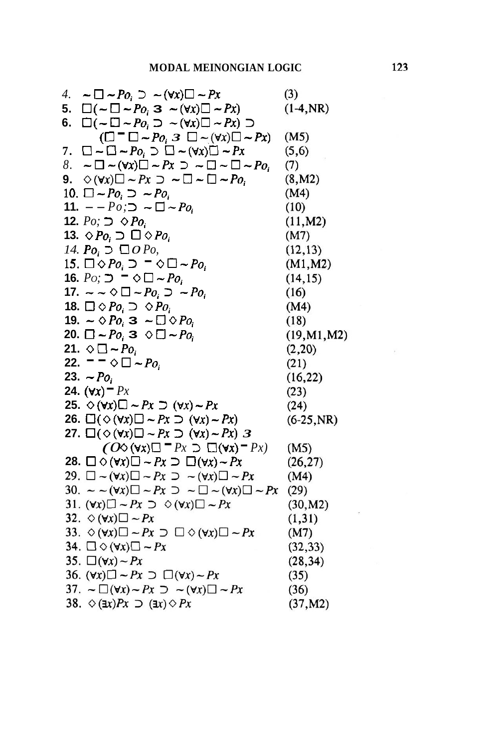| 4. | $\sim \Box \sim Po_i \supset \sim (\forall x) \Box \sim Px$                                                        | (3)          |
|----|--------------------------------------------------------------------------------------------------------------------|--------------|
| 5. | $\square(-\square \sim Po_i \; \mathbf{3} \sim (\forall x)\square \sim Px)$                                        | $(1-4, NR)$  |
| 6. | $\Box(\sim \Box \sim Po_i \supset \sim (\forall x) \Box \sim Px) \supset$                                          |              |
|    | $(\Box \blacksquare \Box \sim Po_i \, 3 \square \sim (\forall x) \square \sim Px)$                                 | (M5)         |
| 7. | $\square \sim \square \sim Po_i \supset \square \sim (\forall x) \square \sim Px$                                  | (5,6)        |
|    | 8. $\sim \Box \sim (\forall x) \Box \sim Px \supset \sim \Box \sim \Box \sim Po_i$                                 | (7)          |
|    | 9. $\Diamond$ ( $\forall x$ ) $\Box \sim Px \supset \sim \Box \sim \Box \sim Po$ ,                                 | (8, M2)      |
|    | 10. $\Box \sim Po_i \supset \neg Po_i$                                                                             | (M4)         |
|    | 11. – – $Po_i \supset \neg \Box \neg Po_i$                                                                         | (10)         |
|    | 12. $Po$ ; $\supset$ $\Diamond Po$ .                                                                               | (11, M2)     |
|    | 13. $\Diamond Po_i \supset \Box \Diamond Po_i$                                                                     | (M7)         |
|    | 14. $Po_i \supset \Box OPo$ ,                                                                                      | (12, 13)     |
|    | 15. $\Box \Diamond Po_i \supset \neg \Diamond \Box \neg Po_i$                                                      | (M1, M2)     |
|    | 16. $Po$ ; $\supset \neg \diamond \Box \sim Po_i$                                                                  | (14, 15)     |
|    | 17. $\sim \sim \bigcirc \square \sim Po_i \supset \sim Po_i$                                                       | (16)         |
|    | 18. $\Box \Diamond Po_i \supset \Diamond Po_i$                                                                     | (M4)         |
|    | 19. $\sim \Diamond Po_i$ 3 $\sim \Box \Diamond Po_i$                                                               | (18)         |
|    | 20. $\Box \sim Po$ , 3 $\Diamond \Box \sim Po$ ,                                                                   | (19, M1, M2) |
|    | 21. $\Diamond \Box \sim Po_i$                                                                                      | (2,20)       |
|    | 22. $-\neg \Diamond \Box \neg Po_i$                                                                                | (21)         |
|    | 23. $-PO_i$                                                                                                        | (16, 22)     |
|    | <b>24.</b> $(\forall x) = Px$                                                                                      | (23)         |
|    | 25. $\Diamond$ ( $\forall x$ ) $\Box \sim Px \supset (\forall x) \sim Px$                                          | (24)         |
|    | 26. $\Box(\Diamond(\forall x)\Box \sim Px \supset (\forall x)\sim Px)$                                             | $(6-25, NR)$ |
|    | 27. $\Box (\Diamond (\forall x) \Box \sim Px \supset (\forall x) \sim Px)$ 3                                       |              |
|    | $(0 \otimes (\forall x) \Box \top Px \supset \Box(\forall x) \top Px)$                                             | (M5)         |
|    | 28. $\Box \Diamond (\forall x) \Box \sim Px \supset \Box (\forall x) \sim Px$                                      | (26, 27)     |
|    | 29. $\Box \sim (\forall x) \Box \sim Px \supset \sim (\forall x) \Box \sim Px$                                     | (M4)         |
|    | 30. $\sim$ $\sim$ $(\forall x)$ $\Box$ $\sim$ $Px$ $\supset$ $\sim$ $\Box$ $\sim$ $(\forall x)$ $\Box$ $\sim$ $Px$ | (29)         |
|    | 31. $(\forall x) \Box \sim Px \supset \Diamond (\forall x) \Box \sim Px$                                           | (30,M2)      |
|    | 32. $\Diamond$ ( $\forall x$ ) $\Box \sim Px$                                                                      | (1, 31)      |
|    | 33. $\Diamond$ ( $\forall x$ ) $\Box \sim Px \supset \Box \Diamond$ ( $\forall x$ ) $\Box \sim Px$                 | (M7)         |
|    | 34. $\Box \Diamond (\forall x) \Box - Px$                                                                          | (32, 33)     |
|    | 35. $\square(\forall x) \sim Px$                                                                                   | (28, 34)     |
|    | 36. $(\forall x) \Box \sim Px \supset \Box (\forall x) \sim Px$                                                    | (35)         |
|    | 37. $\sim \Box(\forall x) \sim Px \supset \sim (\forall x) \Box \sim Px$                                           | (36)         |
|    | 38. $\Diamond$ ( <b>3x</b> ) $Px \supset$ ( <b>3x</b> ) $\Diamond Px$                                              | (37, M2)     |
|    |                                                                                                                    |              |

 $\frac{1}{2}$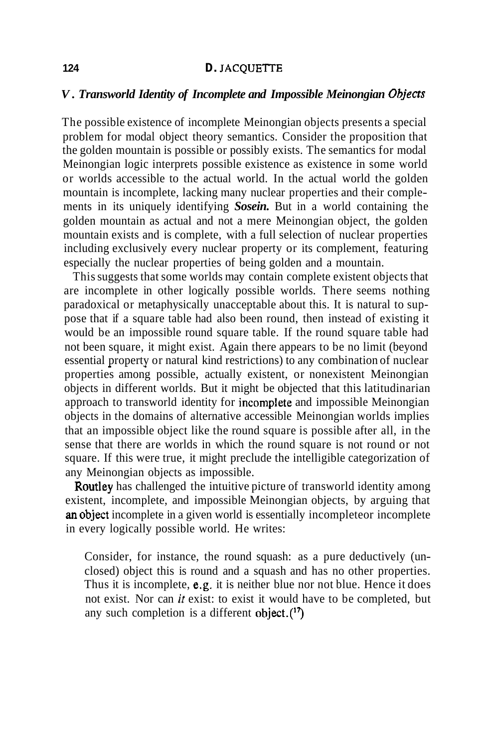### **124 D. JACQUE'ITE**

### *V. Transworld Identity of Incomplete and Impossible Meinongian Objecrs*

The possible existence of incomplete Meinongian objects presents a special problem for modal object theory semantics. Consider the proposition that the golden mountain is possible or possibly exists. The semantics for modal Meinongian logic interprets possible existence as existence in some world or worlds accessible to the actual world. In the actual world the golden mountain is incomplete, lacking many nuclear properties and their complements in its uniquely identifying *Sosein.* But in a world containing the golden mountain as actual and not a mere Meinongian object, the golden mountain exists and is complete, with a full selection of nuclear properties including exclusively every nuclear property or its complement, featuring especially the nuclear properties of being golden and a mountain.

This suggests that some worlds may contain complete existent objects that are incomplete in other logically possible worlds. There seems nothing paradoxical or metaphysically unacceptable about this. It is natural to suppose that if a square table had also been round, then instead of existing it would be an impossible round square table. If the round square table had not been square, it might exist. Again there appears to be no limit (beyond essential property or natural kind restrictions) to any combination of nuclear properties among possible, actually existent, or nonexistent Meinongian objects in different worlds. But it might be objected that this latitudinarian approach to transworld identity for incomplete and impossible Meinongian objects in the domains of alternative accessible Meinongian worlds implies that an impossible object like the round square is possible after all, in the sense that there are worlds in which the round square is not round or not square. If this were true, it might preclude the intelligible categorization of any Meinongian objects as impossible.

Routley has challenged the intuitive picture of transworld identity among existent, incomplete, and impossible Meinongian objects, by arguing that an object incomplete in a given world is essentially incompleted incomplete in every logically possible world. He writes:

Consider, for instance, the round squash: as a pure deductively (unclosed) object this is round and a squash and has no other properties. Thus it is incomplete, e.g. it is neither blue nor not blue. Hence it does not exist. Nor can *it* exist: to exist it would have to be completed, but any such completion is a different object. $(17)$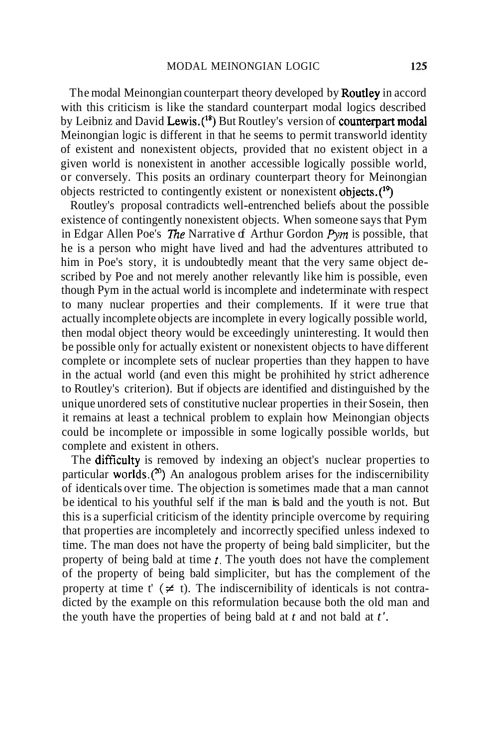The modal Meinongian counterpart theory developed by Routley in accord with this criticism is like the standard counterpart modal logics described by Leibniz and David Lewis.(<sup>18</sup>) But Routley's version of counterpart modal Meinongian logic is different in that he seems to permit transworld identity of existent and nonexistent objects, provided that no existent object in a given world is nonexistent in another accessible logically possible world, or conversely. This posits an ordinary counterpart theory for Meinongian objects restricted to contingently existent or nonexistent objects.('4

Routley's proposal contradicts well-entrenched beliefs about the possible existence of contingently nonexistent objects. When someone says that Pym in Edgar Allen Poe's *The* Narrative of Arthur Gordon *Pym* is possible, that he is a person who might have lived and had the adventures attributed to him in Poe's story, it is undoubtedly meant that the very same object described by Poe and not merely another relevantly like him is possible, even though Pym in the actual world is incomplete and indeterminate with respect to many nuclear properties and their complements. If it were true that actually incomplete objects are incomplete in every logically possible world, then modal object theory would be exceedingly uninteresting. It would then be possible only for actually existent or nonexistent objects to have different complete or incomplete sets of nuclear properties than they happen to have in the actual world (and even this might be prohihited hy strict adherence to Routley's criterion). But if objects are identified and distinguished by the unique unordered sets of constitutive nuclear properties in their Sosein, then it remains at least a technical problem to explain how Meinongian objects could be incomplete or impossible in some logically possible worlds, but complete and existent in others.

The difficulty is removed by indexing an object's nuclear properties to particular worlds. $(2^{\circ})$  An analogous problem arises for the indiscernibility of identicals over time. The objection is sometimes made that a man cannot be identical to his youthful self if the man is bald and the youth is not. But this is a superficial criticism of the identity principle overcome by requiring that properties are incompletely and incorrectly specified unless indexed to time. The man does not have the property of being bald simpliciter, but the property of being bald at time **f.** The youth does not have the complement of the property of being bald simpliciter, but has the complement of the property at time  $t'$  ( $\neq t$ ). The indiscernibility of identicals is not contradicted by the example on this reformulation because both the old man and the youth have the properties of being bald at *t* and not bald at *t'.*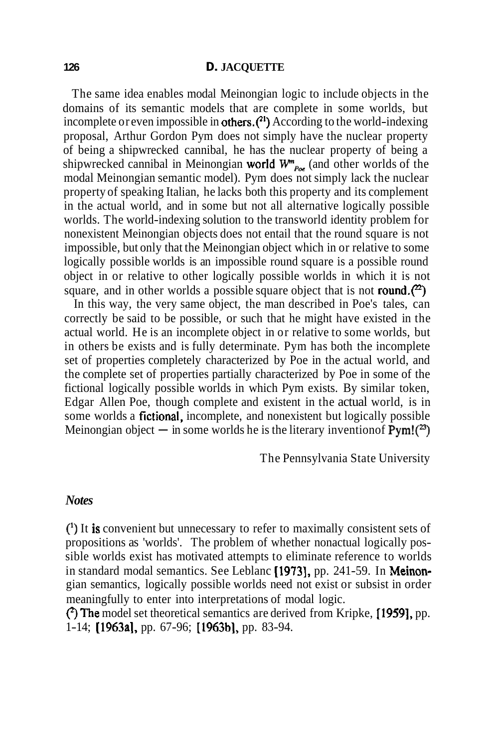The same idea enables modal Meinongian logic to include objects in the domains of its semantic models that are complete in some worlds, but incomplete or even impossible in others. $(^{21})$  According to the world-indexing proposal, Arthur Gordon Pym does not simply have the nuclear property of being a shipwrecked cannibal, he has the nuclear property of being a shipwrecked cannibal in Meinongian **world**  $W_{p_{\infty}}^n$  (and other worlds of the modal Meinongian semantic model). Pym does not simply lack the nuclear property of speaking Italian, he lacks both this property and its complement in the actual world, and in some but not all alternative logically possible worlds. The world-indexing solution to the transworld identity problem for nonexistent Meinongian objects does not entail that the round square is not impossible, but only that the Meinongian object which in or relative to some logically possible worlds is an impossible round square is a possible round object in or relative to other logically possible worlds in which it is not square, and in other worlds a possible square object that is not **round.**<sup>22</sup>)

In this way, the very same object, the man described in Poe's tales, can correctly be said to be possible, or such that he might have existed in the actual world. He is an incomplete object in or relative to some worlds, but in others be exists and is fully determinate. Pym has both the incomplete set of properties completely characterized by Poe in the actual world, and the complete set of properties partially characterized by Poe in some of the fictional logically possible worlds in which Pym exists. By similar token, Edgar Allen Poe, though complete and existent in the actual world, is in some worlds a fictional, incomplete, and nonexistent but logically possible Meinongian object — in some worlds he is the literary invention of  $Pym!(2^3)$ 

The Pennsylvania State University

### *Notes*

 $\binom{1}{1}$  It is convenient but unnecessary to refer to maximally consistent sets of propositions as 'worlds'. The problem of whether nonactual logically possible worlds exist has motivated attempts to eliminate reference to worlds in standard modal semantics. See Leblanc [1973], pp. 241-59. In Meinongian semantics, logically possible worlds need not exist or subsist in order meaningfully to enter into interpretations of modal logic.

(')The model set theoretical semantics are derived from Kripke, [1959], pp. 1-14; (1963a1, pp. 67-96; [1963b], pp. 83-94.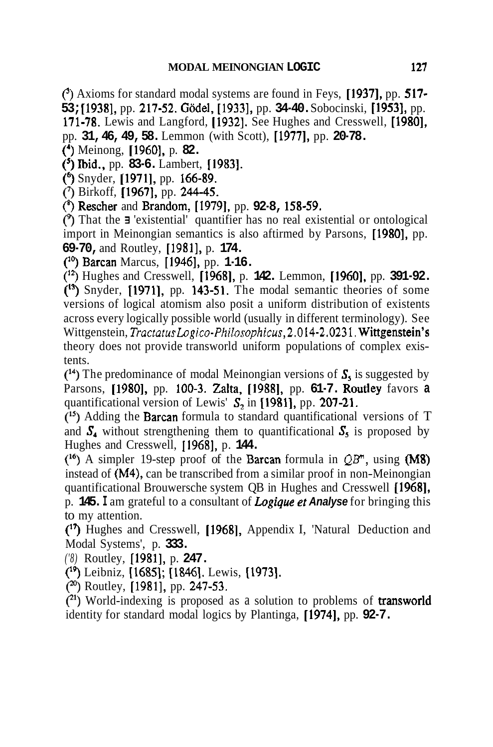**C)** Axioms for standard modal systems are found in Feys, **[1937],** pp. **517- 53; 119381,** pp. **217-52.** Godel, **[1933],** pp. **34-40.** Sobocinski, **[1953],** pp. **171-78.** Lewis and Langford, **119321.** See Hughes and Cresswell, **[1980],**  pp. **31, 46, 49, 58.** Lemmon (with Scott), **[1977],** pp. **20-78.** 

(') Meinong, **[1960],** p. **82.** 

(3 Ibid., pp. **83-6.** Lambert, **119831.** 

**(9** Snyder, **[1971],** pp. **166-89.** 

(3 Birkoff, **[1967],** pp. **244-45.** 

**(8)** Rescher and Brandom, **[1979],** pp. **92-8, 158-59.** 

0 That the **3** 'existential' quantifier has no real existential or ontological import in Meinongian semantics is also aftirmed by Parsons, **[1980],** pp. **69-70,** and Routley, **[1981],** p. **174.** 

**('O)** Barcan Marcus, **[1946],** pp. **1-16.** 

('3 Hughes and Cresswell, **[1968],** p. **142.** Lemmon, **[1960],** pp. **391-92.**  ('3 Snyder, **119711,** pp. **143-51.** The modal semantic theories of some versions of logical atomism also posit a uniform distribution of existents across every logically possible world (usually in different terminology). See Wittgenstein, *Tractatus Logico-Philosophicus*, 2.014-2.0231. Wittgenstein's theory does not provide transworld uniform populations of complex existents.

 $(14)$  The predominance of modal Meinongian versions of  $S<sub>5</sub>$  is suggested by Parsons, **[1980],** pp. **100-3.** Zalta, **[1988],** pp. **61-7.** Routley favors **a**  quantificational version of Lewis'  $S_2$ , in [1981], pp. 207-21.

 $(15)$  Adding the **Barcan** formula to standard quantificational versions of T and  $S_4$  without strengthening them to quantificational  $S_5$  is proposed by Hughes and Cresswell, **119681,** p. **144.** 

**(I6)** A simpler 19-step proof of the Barcan formula in **QB",** using (M8) instead of **(M4),** can be transcribed from a similar proof in non-Meinongian quantificational Brouwersche system QB in Hughes and Cresswell **[1968],**  p. **145. I** am grateful to a consultant of **Logique** *et* **Analyse** for bringing this to my attention.

('3 Hughes and Cresswell, **119681,** Appendix I, 'Natural Deduction and Modal Systems', p. **333.** 

*('8)* Routley, **[1981],** p. **247.** 

('4 Leibniz, **[1685]; [1846].** Lewis, **(19731.** 

**(9** Routley, **[1981],** pp. **247-53.** 

**(2')** World-indexing is proposed as a solution to problems of transworld identity for standard modal logics by Plantinga, **[1974],** pp. **92-7.**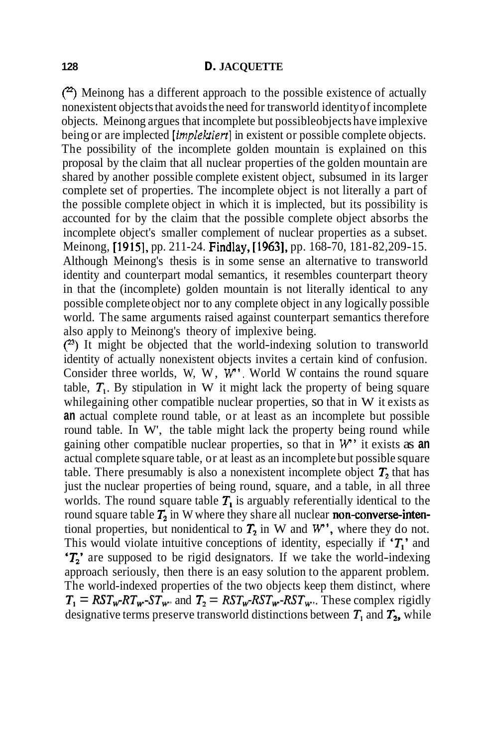**Ca)** Meinong has a different approach to the possible existence of actually nonexistent objects that avoids the need for transworld identity of incomplete objects. Meinong argues that incomplete but possibleobjects have implexive being or are implected *[implckfierr]* in existent or possible complete objects. The possibility of the incomplete golden mountain is explained on this proposal by the claim that all nuclear properties of the golden mountain are shared by another possible complete existent object, subsumed in its larger complete set of properties. The incomplete object is not literally a part of the possible complete object in which it is implected, but its possibility is accounted for by the claim that the possible complete object absorbs the incomplete object's smaller complement of nuclear properties as a subset. Meinong, [1915], pp. 211-24. Findlay, [1963], pp. 168-70, 181-82,209-15. Although Meinong's thesis is in some sense an alternative to transworld identity and counterpart modal semantics, it resembles counterpart theory in that the (incomplete) golden mountain is not literally identical to any possible complete object nor to any complete object in any logically possible world. The same arguments raised against counterpart semantics therefore also apply to Meinong's theory of implexive being.

 $(2^3)$  It might be objected that the world-indexing solution to transworld identity of actually nonexistent objects invites a certain kind of confusion. Consider three worlds, W, W, **W'.** World W contains the round square table,  $T_1$ . By stipulation in W it might lack the property of being square whilegaining other compatible nuclear properties, so that in W it exists as **an** actual complete round table, or at least as an incomplete but possible round table. In W', the table might lack the property being round while gaining other compatible nuclear properties, so that in **W'** it exists as **an**  actual complete square table, or at least as an incomplete but possible square table. There presumably is also a nonexistent incomplete object  $T_2$  that has just the nuclear properties of being round, square, and a table, in all three worlds. The round square table  $T_1$  is arguably referentially identical to the round square table  $T_2$  in W where they share all nuclear **non-converse-inten**tional properties, but nonidentical to  $T_2$  in W and W<sup>\*</sup>, where they do not. This would violate intuitive conceptions of identity, especially if 'T<sub>1</sub>' and ' $T_2$ ' are supposed to be rigid designators. If we take the world-indexing approach seriously, then there is an easy solution to the apparent problem. The world-indexed properties of the two objects keep them distinct, where  $T_1 = RST_w RT_w - ST_w$  and  $T_2 = RST_w RST_w - RST_w$ . These complex rigidly designative terms preserve transworld distinctions between  $T_1$  and  $T_2$ , while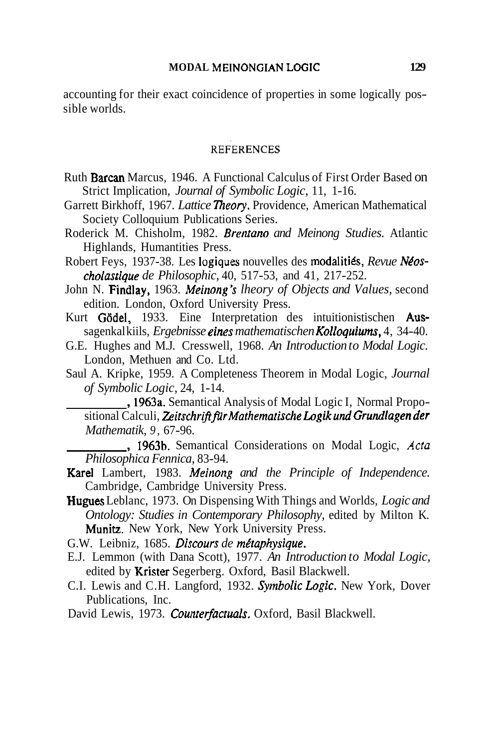accounting for their exact coincidence of properties in some logically possible worlds.

# **REFERENCES**

- Ruth Barcan Marcus, 1946. A Functional Calculus of First Order Based on Strict Implication, *Journal of Symbolic Logic,* 11, 1-16.
- Garrett Birkhoff, 1967. *Lattice Theory*. Providence, American Mathematical Society Colloquium Publications Series.
- Roderick M. Chisholm, 1982. *Brentano and Meinong Studies.* Atlantic Highlands, Humantities Press.
- Robert Feys, 1937-38. Les logiques nouvelles des modaliti&, *Revue Neoscholastique de Philosophic,* 40, 517-53, and 41, 217-252.
- John N. Findlay, 1963. *Meinong's lheory of Objects and Values,* second edition. London, Oxford University Press.
- Kurt Gödel, 1933. Eine Interpretation des intuitionistischen Aussagenkal kiils, *Ergebnisse eines mathematischen Kolloquiwns,* 4, 34-40.
- G.E. Hughes and M.J. Cresswell, 1968. *An Introduction to Modal Logic.*  London, Methuen and Co. Ltd.
- Saul A. Kripke, 1959. A Completeness Theorem in Modal Logic, *Journal of* ~. *Symbolic Logic,* 24, 1-14.

, 1963a, Semantical Analysis of Modal Logic I, Normal Propositional Calculi, Zeitschrift für Mathematische Logik und Grundlagen der *Mathematik, 9,* 67-96.

, 1963b. Semantical Considerations on Modal Logic, **Acta**  *Philosophica Fennica,* 83-94.

- Karel Lambert, 1983. *Meinong and the Principle of Independence.*  Cambridge, Cambridge University Press.
- Hugues Leblanc, 1973. On Dispensing With Things and Worlds, *Logic and Ontology: Studies in Contemporary Philosophy,* edited by Milton K. Munitz. New York, New York University Press.

G.W. Leibniz, 1685. *Discours de métaphysique*.

- E.J. Lemmon (with Dana Scott), 1977. *An Introduction to Modal Logic,*  edited by Krister Segerberg. Oxford, Basil Blackwell.
- C.I. Lewis and C.H. Langford, 1932. *SymbolicLogic.* New York, Dover Publications, Inc.
- David Lewis, 1973. *Counterfactuals.* Oxford, Basil Blackwell.